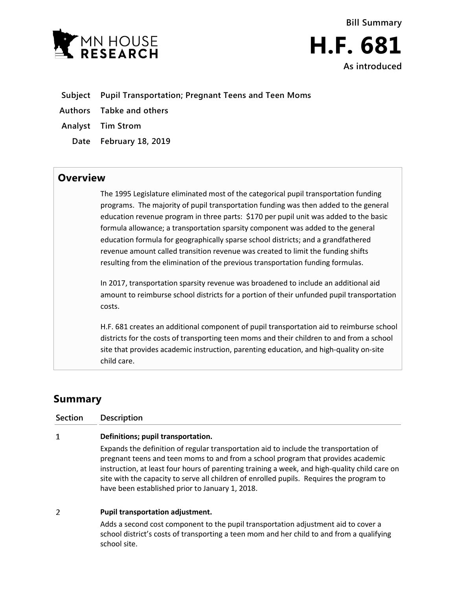



- **Subject Pupil Transportation; Pregnant Teens and Teen Moms**
- **Authors Tabke and others**
- **Analyst Tim Strom**
	- **Date February 18, 2019**

## **Overview**

The 1995 Legislature eliminated most of the categorical pupil transportation funding programs. The majority of pupil transportation funding was then added to the general education revenue program in three parts: \$170 per pupil unit was added to the basic formula allowance; a transportation sparsity component was added to the general education formula for geographically sparse school districts; and a grandfathered revenue amount called transition revenue was created to limit the funding shifts resulting from the elimination of the previous transportation funding formulas.

In 2017, transportation sparsity revenue was broadened to include an additional aid amount to reimburse school districts for a portion of their unfunded pupil transportation costs.

H.F. 681 creates an additional component of pupil transportation aid to reimburse school districts for the costs of transporting teen moms and their children to and from a school site that provides academic instruction, parenting education, and high-quality on-site child care.

## **Summary**

**Section Description**  $\mathbf{1}$ **Definitions; pupil transportation.** Expands the definition of regular transportation aid to include the transportation of pregnant teens and teen moms to and from a school program that provides academic instruction, at least four hours of parenting training a week, and high-quality child care on site with the capacity to serve all children of enrolled pupils. Requires the program to have been established prior to January 1, 2018.  $\overline{2}$ **Pupil transportation adjustment.**

> Adds a second cost component to the pupil transportation adjustment aid to cover a school district's costs of transporting a teen mom and her child to and from a qualifying school site.